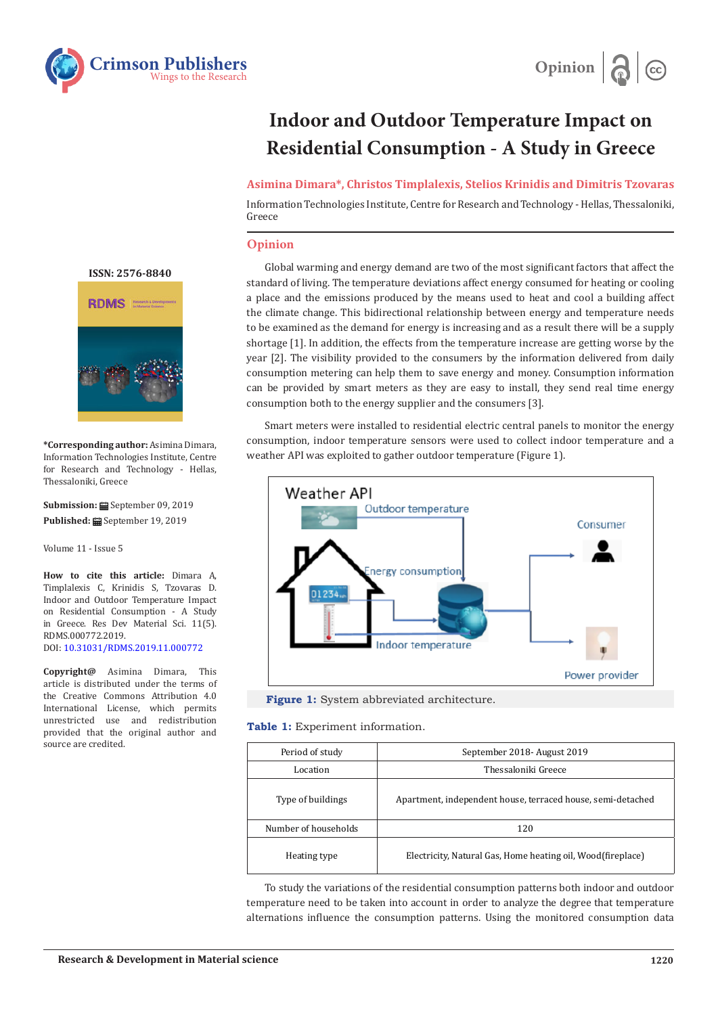



## **Indoor and Outdoor Temperature Impact on Residential Consumption - A Study in Greece**

**Asimina Dimara\*, Christos Timplalexis, Stelios Krinidis and Dimitris Tzovaras**

Information Technologies Institute, Centre for Research and Technology - Hellas, Thessaloniki, Greece

## **Opinion**

Global warming and energy demand are two of the most significant factors that affect the standard of living. The temperature deviations affect energy consumed for heating or cooling a place and the emissions produced by the means used to heat and cool a building affect the climate change. This bidirectional relationship between energy and temperature needs to be examined as the demand for energy is increasing and as a result there will be a supply shortage [1]. In addition, the effects from the temperature increase are getting worse by the year [2]. The visibility provided to the consumers by the information delivered from daily consumption metering can help them to save energy and money. Consumption information can be provided by smart meters as they are easy to install, they send real time energy consumption both to the energy supplier and the consumers [3].

Smart meters were installed to residential electric central panels to monitor the energy consumption, indoor temperature sensors were used to collect indoor temperature and a weather API was exploited to gather outdoor temperature (Figure 1).





**Table 1:** Experiment information.

| Period of study      | September 2018 - August 2019                                 |  |
|----------------------|--------------------------------------------------------------|--|
| Location             | Thessaloniki Greece                                          |  |
| Type of buildings    | Apartment, independent house, terraced house, semi-detached  |  |
| Number of households | 120                                                          |  |
| Heating type         | Electricity, Natural Gas, Home heating oil, Wood (fireplace) |  |

To study the variations of the residential consumption patterns both indoor and outdoor temperature need to be taken into account in order to analyze the degree that temperature alternations influence the consumption patterns. Using the monitored consumption data

**[ISSN: 2576-8840](https://crimsonpublishers.com/rdms/index.php)**



**\*Corresponding author:** Asimina Dimara, Information Technologies Institute, Centre for Research and Technology - Hellas, Thessaloniki, Greece

**Submission:** September 09, 2019 Published: **■** September 19, 2019

Volume 11 - Issue 5

**How to cite this article:** Dimara A, Timplalexis C, Krinidis S, Tzovaras D. Indoor and Outdoor Temperature Impact on Residential Consumption - A Study in Greece. Res Dev Material Sci. 11(5). RDMS.000772.2019. DOI: [10.31031/RDMS.2019.11.00077](http://dx.doi.org/10.31031/RDMS.2019.11.000772)2

**Copyright@** Asimina Dimara, This article is distributed under the terms of the Creative Commons Attribution 4.0 International License, which permits unrestricted use and redistribution provided that the original author and source are credited.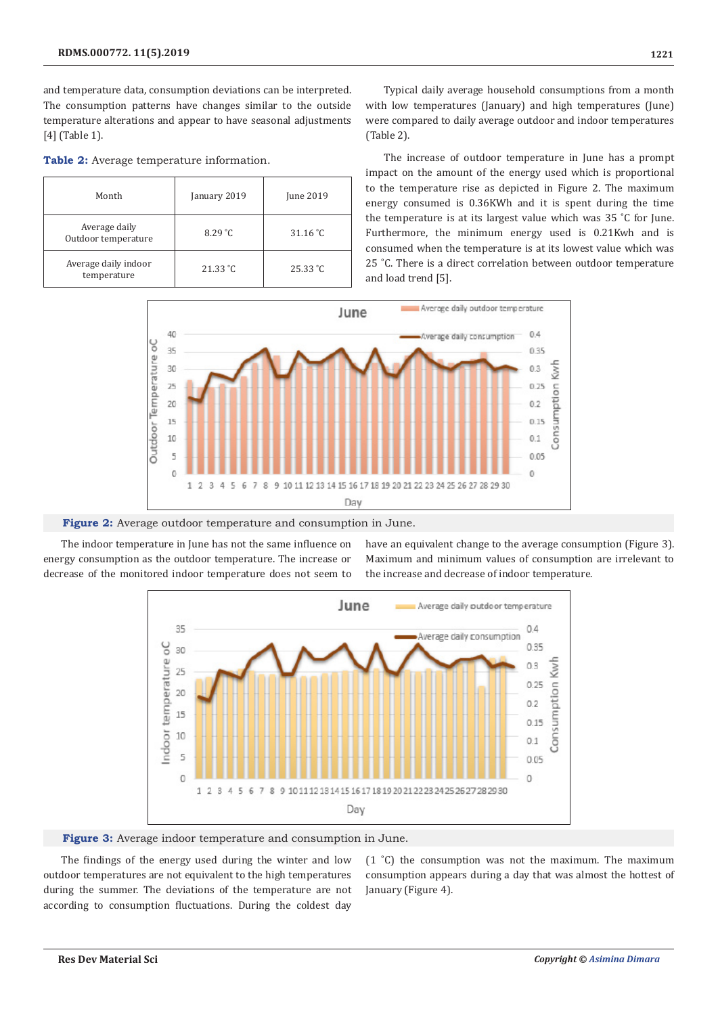and temperature data, consumption deviations can be interpreted. The consumption patterns have changes similar to the outside temperature alterations and appear to have seasonal adjustments [4] (Table 1).

**Table 2:** Average temperature information.

| Month                                | January 2019 | June 2019                 |
|--------------------------------------|--------------|---------------------------|
| Average daily<br>Outdoor temperature | 8.29 °C      | 31.16 °C                  |
| Average daily indoor<br>temperature  | 21.33 °C     | $25.33 \text{ }^{\circ}C$ |

Typical daily average household consumptions from a month with low temperatures (January) and high temperatures (June) were compared to daily average outdoor and indoor temperatures (Table 2).

The increase of outdoor temperature in June has a prompt impact on the amount of the energy used which is proportional to the temperature rise as depicted in Figure 2. The maximum energy consumed is 0.36KWh and it is spent during the time the temperature is at its largest value which was 35 ˚C for June. Furthermore, the minimum energy used is 0.21Kwh and is consumed when the temperature is at its lowest value which was 25 ˚C. There is a direct correlation between outdoor temperature and load trend [5].





The indoor temperature in June has not the same influence on energy consumption as the outdoor temperature. The increase or decrease of the monitored indoor temperature does not seem to

have an equivalent change to the average consumption (Figure 3). Maximum and minimum values of consumption are irrelevant to the increase and decrease of indoor temperature.



**Figure 3:** Average indoor temperature and consumption in June.

The findings of the energy used during the winter and low outdoor temperatures are not equivalent to the high temperatures during the summer. The deviations of the temperature are not according to consumption fluctuations. During the coldest day

(1 ˚C) the consumption was not the maximum. The maximum consumption appears during a day that was almost the hottest of January (Figure 4).